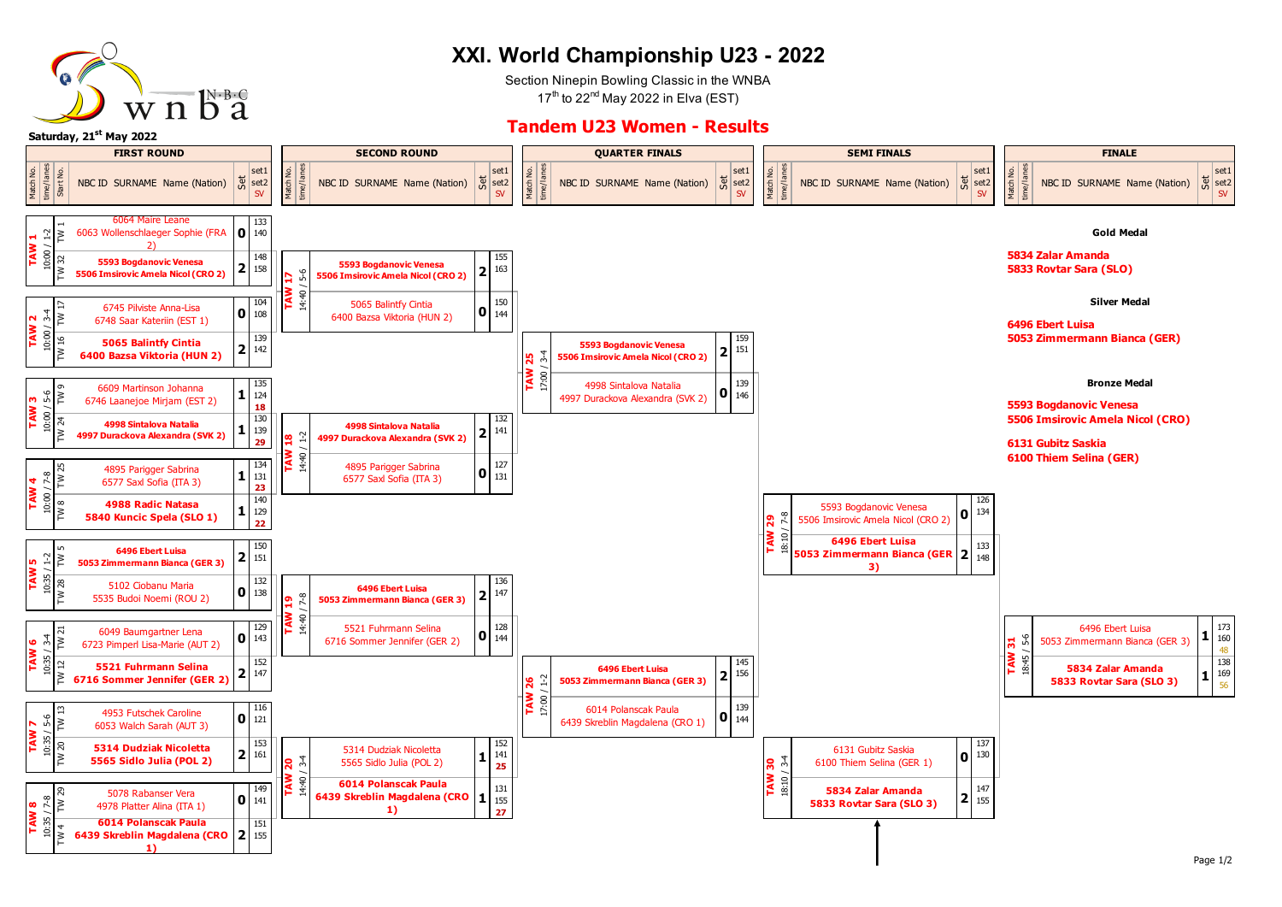

## **XXI. World Championship U23 - 2022**

Section Ninepin Bowling Classic in the WNBA  $17<sup>th</sup>$  to 22<sup>nd</sup> May 2022 in Elva (EST)